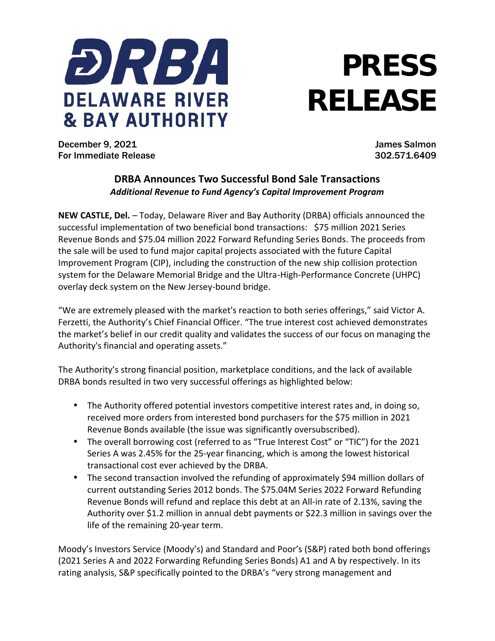

## **PRESS RELEASE**

December 9, 2021 James Salmon For Immediate Release 302.571.6409

## **DRBA Announces Two Successful Bond Sale Transactions** *Additional Revenue to Fund Agency's Capital Improvement Program*

**NEW CASTLE, Del.** – Today, Delaware River and Bay Authority (DRBA) officials announced the successful implementation of two beneficial bond transactions: \$75 million 2021 Series Revenue Bonds and \$75.04 million 2022 Forward Refunding Series Bonds. The proceeds from the sale will be used to fund major capital projects associated with the future Capital Improvement Program (CIP), including the construction of the new ship collision protection system for the Delaware Memorial Bridge and the Ultra-High-Performance Concrete (UHPC) overlay deck system on the New Jersey-bound bridge.

"We are extremely pleased with the market's reaction to both series offerings," said Victor A. Ferzetti, the Authority's Chief Financial Officer. "The true interest cost achieved demonstrates the market's belief in our credit quality and validates the success of our focus on managing the Authority's financial and operating assets."

The Authority's strong financial position, marketplace conditions, and the lack of available DRBA bonds resulted in two very successful offerings as highlighted below:

- The Authority offered potential investors competitive interest rates and, in doing so, received more orders from interested bond purchasers for the \$75 million in 2021 Revenue Bonds available (the issue was significantly oversubscribed).
- The overall borrowing cost (referred to as "True Interest Cost" or "TIC") for the 2021 Series A was 2.45% for the 25-year financing, which is among the lowest historical transactional cost ever achieved by the DRBA.
- The second transaction involved the refunding of approximately \$94 million dollars of current outstanding Series 2012 bonds. The \$75.04M Series 2022 Forward Refunding Revenue Bonds will refund and replace this debt at an All-in rate of 2.13%, saving the Authority over \$1.2 million in annual debt payments or \$22.3 million in savings over the life of the remaining 20-year term.

Moody's Investors Service (Moody's) and Standard and Poor's (S&P) rated both bond offerings (2021 Series A and 2022 Forwarding Refunding Series Bonds) A1 and A by respectively. In its rating analysis, S&P specifically pointed to the DRBA's "very strong management and